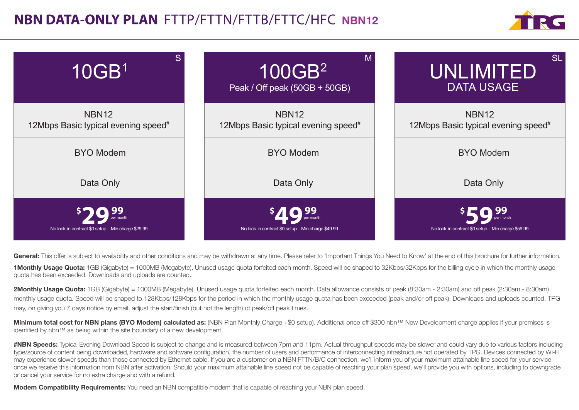## **NBN DATA-ONLY PLAN** FTTP/FTTN/FTTB/FTTC/HFCNBN12





General: This offer is subject to availability and other conditions and may be withdrawn at any time. Please refer to 'Important Things You Need to Know' at the end of this brochure for further information.

1Monthly Usage Quota: 1GB (Gigabyte) = 1000MB (Megabyte). Unused usage quota forfeited each month. Speed will be shaped to 32Kbps/32Kbps for the billing cycle in which the monthly usage quota has been exceeded. Downloads and uploads are counted.

2Monthly Usage Quota: 1GB (Gigabyte) = 1000MB (Megabyte). Unused usage quota forfeited each month. Data allowance consists of peak (8:30am - 2:30am) and off peak (2:30am - 8:30am) monthly usage quota. Speed will be shaped to 128Kbps/128Kbps for the period in which the monthly usage quota has been exceeded (peak and/or off peak). Downloads and uploads counted. TPG may, on giving you 7 days notice by email, adjust the start/finish (but not the length) of peak/off peak times.

Minimum total cost for NBN plans (BYO Modem) calculated as: (NBN Plan Monthly Charge +\$0 setup). Additional once off \$300 nbn™ New Development charge applies if your premises is identified by nbn™ as being within the site boundary of a new development.

#NBN Speeds: Typical Evening Download Speed is subject to change and is measured between 7pm and 11pm. Actual throughput speeds may be slower and could vary due to various factors including type/source of content being downloaded, hardware and software configuration, the number of users and performance of interconnecting infrastructure not operated by TPG. Devices connected by Wi-Fi may experience slower speeds than those connected by Ethernet cable. If you are a customer on a NBN FTTN/B/C connection, we'll inform you of your maximum attainable line speed for your service once we receive this information from NBN after activation. Should your maximum attainable line speed not be capable of reaching your plan speed, we'll provide you with options, including to downgrade or cancel your service for no extra charge and with a refund.

Modem Compatibility Requirements: You need an NBN compatible modem that is capable of reaching your NBN plan speed.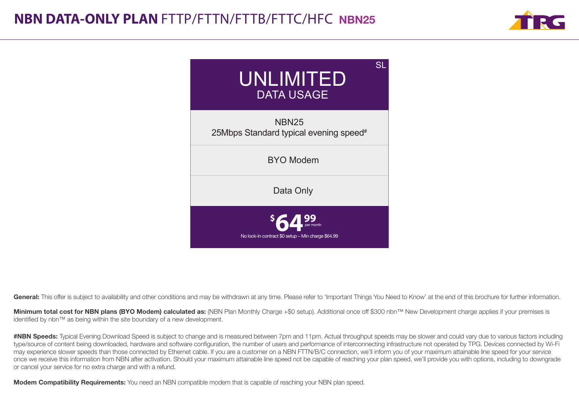



Minimum total cost for NBN plans (BYO Modem) calculated as: (NBN Plan Monthly Charge +\$0 setup). Additional once off \$300 nbn™ New Development charge applies if your premises is identified by nbn™ as being within the site boundary of a new development.

#NBN Speeds: Typical Evening Download Speed is subject to change and is measured between 7pm and 11pm. Actual throughput speeds may be slower and could vary due to various factors including type/source of content being downloaded, hardware and software configuration, the number of users and performance of interconnecting infrastructure not operated by TPG. Devices connected by Wi-Fi may experience slower speeds than those connected by Ethernet cable. If you are a customer on a NBN FTTN/B/C connection, we'll inform you of your maximum attainable line speed for your service once we receive this information from NBN after activation. Should your maximum attainable line speed not be capable of reaching your plan speed, we'll provide you with options, including to downgrade or cancel your service for no extra charge and with a refund.

**Modem Compatibility Requirements:** You need an NBN compatible modem that is capable of reaching your NBN plan speed.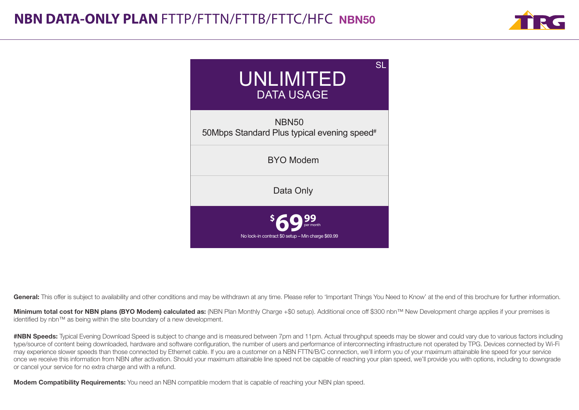



Minimum total cost for NBN plans (BYO Modem) calculated as: (NBN Plan Monthly Charge +\$0 setup). Additional once off \$300 nbn™ New Development charge applies if your premises is identified by nbn™ as being within the site boundary of a new development.

#NBN Speeds: Typical Evening Download Speed is subject to change and is measured between 7pm and 11pm. Actual throughput speeds may be slower and could vary due to various factors including type/source of content being downloaded, hardware and software configuration, the number of users and performance of interconnecting infrastructure not operated by TPG. Devices connected by Wi-Fi may experience slower speeds than those connected by Ethernet cable. If you are a customer on a NBN FTTN/B/C connection, we'll inform you of your maximum attainable line speed for your service once we receive this information from NBN after activation. Should your maximum attainable line speed not be capable of reaching your plan speed, we'll provide you with options, including to downgrade or cancel your service for no extra charge and with a refund.

**Modem Compatibility Requirements:** You need an NBN compatible modem that is capable of reaching your NBN plan speed.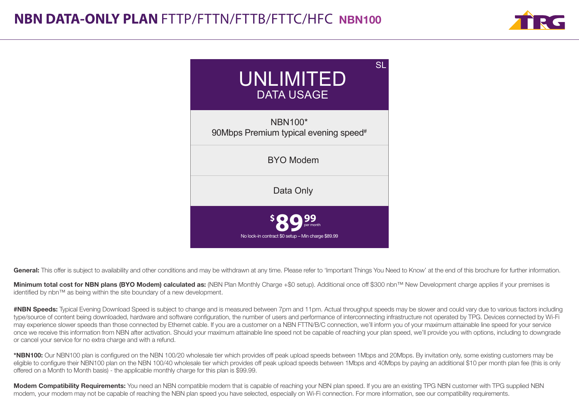



Minimum total cost for NBN plans (BYO Modem) calculated as: (NBN Plan Monthly Charge +\$0 setup). Additional once off \$300 nbn™ New Development charge applies if your premises is identified by nbn™ as being within the site boundary of a new development.

#NBN Speeds: Typical Evening Download Speed is subject to change and is measured between 7pm and 11pm. Actual throughput speeds may be slower and could vary due to various factors including type/source of content being downloaded, hardware and software configuration, the number of users and performance of interconnecting infrastructure not operated by TPG. Devices connected by Wi-Fi may experience slower speeds than those connected by Ethernet cable. If you are a customer on a NBN FTTN/B/C connection, we'll inform you of your maximum attainable line speed for your service once we receive this information from NBN after activation. Should your maximum attainable line speed not be capable of reaching your plan speed, we'll provide you with options, including to downgrade or cancel your service for no extra charge and with a refund.

\*NBN100: Our NBN100 plan is configured on the NBN 100/20 wholesale tier which provides off peak upload speeds between 1Mbps and 20Mbps. By invitation only, some existing customers may be eligible to configure their NBN100 plan on the NBN 100/40 wholesale tier which provides off peak upload speeds between 1Mbps and 40Mbps by paying an additional \$10 per month plan fee (this is only offered on a Month to Month basis) - the applicable monthly charge for this plan is \$99.99.

Modem Compatibility Requirements: You need an NBN compatible modem that is capable of reaching your NBN plan speed. If you are an existing TPG NBN customer with TPG supplied NBN modem, your modem may not be capable of reaching the NBN plan speed you have selected, especially on Wi-Fi connection. For more information, see our compatibility requirements.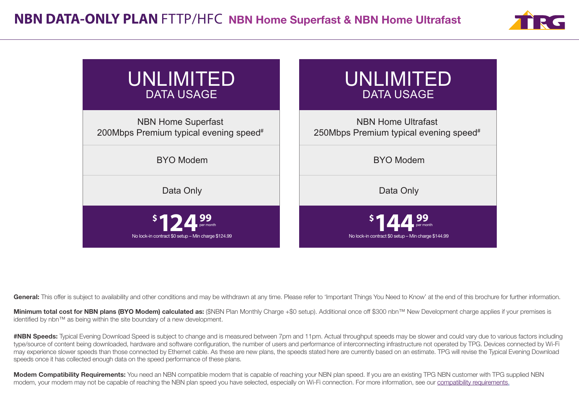



Minimum total cost for NBN plans (BYO Modem) calculated as: (\$NBN Plan Monthly Charge +\$0 setup). Additional once off \$300 nbn™ New Development charge applies if your premises is identified by nbn™ as being within the site boundary of a new development.

#NBN Speeds: Typical Evening Download Speed is subject to change and is measured between 7pm and 11pm. Actual throughput speeds may be slower and could vary due to various factors including type/source of content being downloaded, hardware and software configuration, the number of users and performance of interconnecting infrastructure not operated by TPG. Devices connected by Wi-Fi may experience slower speeds than those connected by Ethernet cable. As these are new plans, the speeds stated here are currently based on an estimate. TPG will revise the Typical Evening Download speeds once it has collected enough data on the speed performance of these plans.

Modem Compatibility Requirements: You need an NBN compatible modem that is capable of reaching your NBN plan speed. If you are an existing TPG NBN customer with TPG supplied NBN modem, your modem may not be capable of reaching the NBN plan speed you have selected, especially on Wi-Fi connection. For more information, see our compatibility requirements.